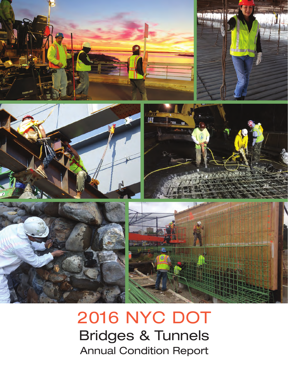

# 2016 NYC DOT Bridges & Tunnels Annual Condition Report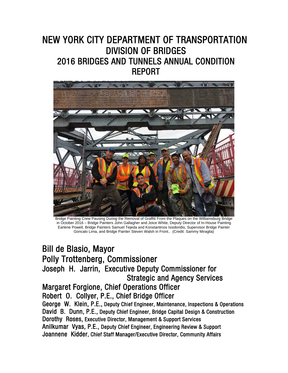# NEW YORK CITY DEPARTMENT OF TRANSPORTATION DIVISION OF BRIDGES 2016 BRIDGES AND TUNNELS ANNUAL CONDITION REPORT



Bridge Painting Crew Pausing During the Removal of Graffiti From the Plaques on the Williamsburg Bridge in October 2016 – Bridge Painters John Gallagher and Joice White, Deputy Director of In-House Painting Earlene Powell, Bridge Painters Samuel Tejeda and Konstantinos Issidoridis, Supervisor Bridge Painter Goncalo Lima, and Bridge Painter Steven Walsh in Front.. (Credit: Sammy Miraglia)

# Bill de Blasio, Mayor Polly Trottenberg, Commissioner Joseph H. Jarrin, Executive Deputy Commissioner for Strategic and Agency Services Margaret Forgione, Chief Operations Officer

# Robert O. Collyer, P.E., Chief Bridge Officer

George W. Klein, P.E., Deputy Chief Engineer, Maintenance, Inspections & Operations David B. Dunn, P.E., Deputy Chief Engineer, Bridge Capital Design & Construction Dorothy Roses, Executive Director, Management & Support Services Anilkumar Vyas, P.E., Deputy Chief Engineer, Engineering Review & Support Joannene Kidder, Chief Staff Manager/Executive Director, Community Affairs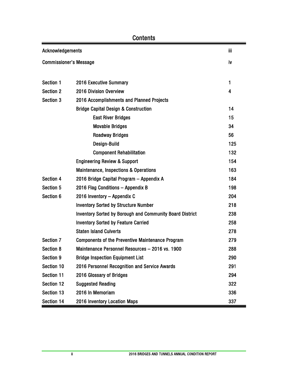| Acknowledgements                           |                                                                 |              |  |  |
|--------------------------------------------|-----------------------------------------------------------------|--------------|--|--|
| <b>Commissioner's Message</b>              |                                                                 |              |  |  |
|                                            |                                                                 |              |  |  |
| Section 1                                  | 2016 Executive Summary                                          | $\mathbf{1}$ |  |  |
| <b>Section 2</b>                           | 2016 Division Overview                                          | 4            |  |  |
| Section 3                                  | 2016 Accomplishments and Planned Projects                       |              |  |  |
|                                            | <b>Bridge Capital Design &amp; Construction</b>                 | 14           |  |  |
|                                            | <b>East River Bridges</b>                                       | 15           |  |  |
|                                            | <b>Movable Bridges</b>                                          | 34           |  |  |
|                                            | <b>Roadway Bridges</b>                                          | 56           |  |  |
|                                            | Design-Build                                                    | 125          |  |  |
|                                            | <b>Component Rehabilitation</b>                                 | 132          |  |  |
|                                            | <b>Engineering Review &amp; Support</b>                         | 154          |  |  |
|                                            | <b>Maintenance, Inspections &amp; Operations</b>                | 163          |  |  |
| Section 4                                  | 2016 Bridge Capital Program - Appendix A                        | 184          |  |  |
| Section 5                                  | 2016 Flag Conditions - Appendix B                               | 198          |  |  |
| Section 6                                  | 2016 Inventory - Appendix C                                     | 204          |  |  |
|                                            | <b>Inventory Sorted by Structure Number</b>                     | 218          |  |  |
|                                            | <b>Inventory Sorted by Borough and Community Board District</b> | 238          |  |  |
|                                            | <b>Inventory Sorted by Feature Carried</b>                      | 258          |  |  |
|                                            | <b>Staten Island Culverts</b>                                   | 278          |  |  |
| <b>Section 7</b>                           | <b>Components of the Preventive Maintenance Program</b>         | 279          |  |  |
| <b>Section 8</b>                           | Maintenance Personnel Resources - 2016 vs. 1900                 | 288          |  |  |
| <b>Section 9</b>                           | <b>Bridge Inspection Equipment List</b>                         | 290          |  |  |
| Section 10                                 | 2016 Personnel Recognition and Service Awards                   | 291          |  |  |
| <b>Section 11</b>                          | 2016 Glossary of Bridges                                        | 294          |  |  |
| Section 12                                 | <b>Suggested Reading</b>                                        | 322          |  |  |
| Section 13                                 | 2016 In Memoriam                                                | 336          |  |  |
| Section 14<br>2016 Inventory Location Maps |                                                                 |              |  |  |

### **Contents**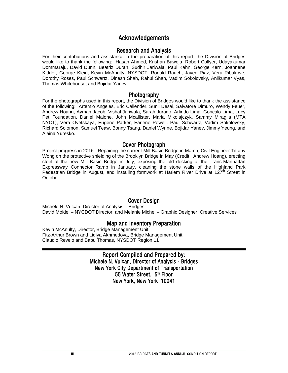#### Acknowledgements

#### Research and Analysis

For their contributions and assistance in the preparation of this report, the Division of Bridges would like to thank the following: Hasan Ahmed, Krishan Baweja, Robert Collyer, Udayakumar Dommaraju, David Dunn, Beatriz Duran, Sudhir Jariwala, Paul Kahn, George Kern, Joannene Kidder, George Klein, Kevin McAnulty, NYSDOT, Ronald Rauch, Javed Riaz, Vera Ribakove, Dorothy Roses, Paul Schwartz, Dinesh Shah, Rahul Shah, Vadim Sokolovsky, Anilkumar Vyas, Thomas Whitehouse, and Bojidar Yanev.

#### Photography

For the photographs used in this report, the Division of Bridges would like to thank the assistance of the following: Artemio Angeles, Eric Callender, Sunil Desai, Salvatore Dimuro, Wendy Feuer, Andrew Hoang, Ayman Jacob, Vishal Jariwala, Sarah Jurado, Arlindo Lima, Goncalo Lima, Lucy Pet Foundation, Daniel Malone, John Mcallister, Maria Mikolajczyk, Sammy Miraglia (MTA NYCT), Vera Ovetskaya, Eugene Parker, Earlene Powell, Paul Schwartz, Vadim Sokolovsky, Richard Solomon, Samuel Teaw, Bonny Tsang, Daniel Wynne, Bojidar Yanev, Jimmy Yeung, and Alaina Yuresko.

#### Cover Photograph

Project progress in 2016: Repairing the current Mill Basin Bridge in March, Civil Engineer Tiffany Wong on the protective shielding of the Brooklyn Bridge in May (Credit: Andrew Hoang), erecting steel of the new Mill Basin Bridge in July, exposing the old decking of the Trans-Manhattan Expressway Connector Ramp in January, cleaning the stone walls of the Highland Park Pedestrian Bridge in August, and installing formwork at Harlem River Drive at 127<sup>th</sup> Street in October.

#### Cover Design

Michele N. Vulcan, Director of Analysis – Bridges David Moidel – NYCDOT Director, and Melanie Michel – Graphic Designer, Creative Services

#### Map and Inventory Preparation

Kevin McAnulty, Director, Bridge Management Unit Fitz-Arthur Brown and Lidiya Akhmedova, Bridge Management Unit Claudio Revelo and Babu Thomas, NYSDOT Region 11

#### Report Compiled and Prepared by: Michele N. Vulcan, Director of Analysis - Bridges New York City Department of Transportation 55 Water Street, 5<sup>th</sup> Floor New York, New York 10041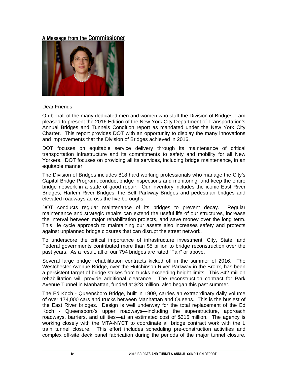#### A Message from the Commissioner



Dear Friends,

On behalf of the many dedicated men and women who staff the Division of Bridges, I am pleased to present the 2016 Edition of the New York City Department of Transportation's Annual Bridges and Tunnels Condition report as mandated under the New York City Charter. This report provides DOT with an opportunity to display the many innovations and improvements that the Division of Bridges achieved in 2016.

DOT focuses on equitable service delivery through its maintenance of critical transportation infrastructure and its commitments to safety and mobility for all New Yorkers. DOT focuses on providing all its services, including bridge maintenance, in an equitable manner.

The Division of Bridges includes 818 hard working professionals who manage the City's Capital Bridge Program, conduct bridge inspections and monitoring, and keep the entire bridge network in a state of good repair. Our inventory includes the iconic East River Bridges, Harlem River Bridges, the Belt Parkway Bridges and pedestrian bridges and elevated roadways across the five boroughs.

DOT conducts regular maintenance of its bridges to prevent decay. Regular maintenance and strategic repairs can extend the useful life of our structures, increase the interval between major rehabilitation projects, and save money over the long term. This life cycle approach to maintaining our assets also increases safety and protects against unplanned bridge closures that can disrupt the street network.

To underscore the critical importance of infrastructure investment, City, State, and Federal governments contributed more than \$5 billion to bridge reconstruction over the past years. As a result, all of our 794 bridges are rated "Fair" or above.

Several large bridge rehabilitation contracts kicked off in the summer of 2016. The Westchester Avenue Bridge, over the Hutchinson River Parkway in the Bronx, has been a persistent target of bridge strikes from trucks exceeding height limits. This \$42 million rehabilitation will provide additional clearance. The reconstruction contract for Park Avenue Tunnel in Manhattan, funded at \$28 million, also began this past summer.

The Ed Koch - Queensboro Bridge, built in 1909, carries an extraordinary daily volume of over 174,000 cars and trucks between Manhattan and Queens. This is the busiest of the East River bridges. Design is well underway for the total replacement of the Ed Koch - Queensboro's upper roadways—including the superstructure, approach roadways, barriers, and utilities—at an estimated cost of \$315 million. The agency is working closely with the MTA-NYCT to coordinate all bridge contract work with the L train tunnel closure. This effort includes scheduling pre-construction activities and complex off-site deck panel fabrication during the periods of the major tunnel closure.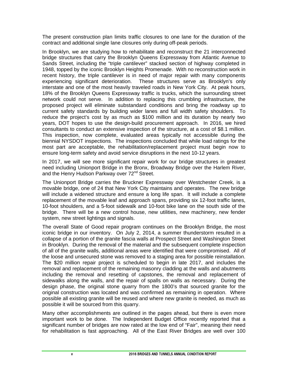The present construction plan limits traffic closures to one lane for the duration of the contract and additional single lane closures only during off-peak periods.

In Brooklyn, we are studying how to rehabilitate and reconstruct the 21 interconnected bridge structures that carry the Brooklyn Queens Expressway from Atlantic Avenue to Sands Street, including the "triple cantilever" stacked section of highway completed in 1948, topped by the iconic Brooklyn Heights Promenade. With no reconstruction work in recent history, the triple cantilever is in need of major repair with many components experiencing significant deterioration. These structures serve as Brooklyn's only interstate and one of the most heavily traveled roads in New York City. At peak hours, 18% of the Brooklyn Queens Expressway traffic is trucks, which the surrounding street network could not serve. In addition to replacing this crumbling infrastructure, the proposed project will eliminate substandard conditions and bring the roadway up to current safety standards by building wider lanes and full width safety shoulders. To reduce the project's cost by as much as \$100 million and its duration by nearly two years, DOT hopes to use the design-build procurement approach. In 2016, we hired consultants to conduct an extensive inspection of the structure, at a cost of \$8.1 million. This inspection, now complete, evaluated areas typically not accessible during the biennial NYSDOT inspections. The inspections concluded that while load ratings for the most part are acceptable, the rehabilitation/replacement project must begin now to ensure long-term safety and avoid service disruptions in the next 10-12 years.

In 2017, we will see more significant repair work for our bridge structures in greatest need including Unionport Bridge in the Bronx, Broadway Bridge over the Harlem River, and the Henry Hudson Parkway over 72<sup>nd</sup> Street.

The Unionport Bridge carries the Bruckner Expressway over Westchester Creek, is a movable bridge, one of 24 that New York City maintains and operates. The new bridge will include a widened structure and ensure a long life span. It will include a complete replacement of the movable leaf and approach spans, providing six 12-foot traffic lanes, 10-foot shoulders, and a 5-foot sidewalk and 10-foot bike lane on the south side of the bridge. There will be a new control house, new utilities, new machinery, new fender system, new street lightings and signals.

The overall State of Good repair program continues on the Brooklyn Bridge, the most iconic bridge in our inventory. On July 2, 2014, a summer thunderstorm resulted in a collapse of a portion of the granite fascia walls at Prospect Street and Washington Street in Brooklyn. During the removal of the material and the subsequent complete inspection of all of the granite walls, additional areas were identified that were compromised. All of the loose and unsecured stone was removed to a staging area for possible reinstallation. The \$20 million repair project is scheduled to begin in late 2017, and includes the removal and replacement of the remaining masonry cladding at the walls and abutments including the removal and resetting of capstones, the removal and replacement of sidewalks along the walls, and the repair of spalls on walls as necessary. During the design phase, the original stone quarry from the 1800's that sourced granite for the original construction was located and was confirmed as remaining in operation. Where possible all existing granite will be reused and where new granite is needed, as much as possible it will be sourced from this quarry.

Many other accomplishments are outlined in the pages ahead, but there is even more important work to be done. The Independent Budget Office recently reported that a significant number of bridges are now rated at the low end of "Fair", meaning their need for rehabilitation is fast approaching. All of the East River Bridges are well over 100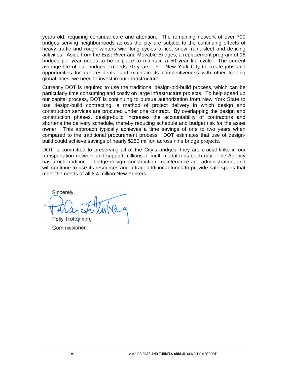years old, requiring continual care and attention. The remaining network of over 700 bridges serving neighborhoods across the city are subject to the continuing effects of heavy traffic and rough winters with long cycles of ice, snow, rain, sleet and de-icing activities. Aside from the East River and Movable Bridges, a replacement program of 16 bridges per year needs to be in place to maintain a 50 year life cycle. The current average life of our bridges exceeds 70 years. For New York City to create jobs and opportunities for our residents, and maintain its competitiveness with other leading global cities, we need to invest in our infrastructure.

Currently DOT is required to use the traditional design-bid-build process, which can be particularly time consuming and costly on large infrastructure projects. To help speed up our capital process, DOT is continuing to pursue authorization from New York State to use design-build contracting, a method of project delivery in which design and construction services are procured under one contract. By overlapping the design and construction phases, design-build increases the accountability of contractors and shortens the delivery schedule, thereby reducing schedule and budget risk for the asset owner. This approach typically achieves a time savings of one to two years when compared to the traditional procurement process. DOT estimates that use of designbuild could achieve savings of nearly \$250 million across nine bridge projects.

DOT is committed to preserving all of the City's bridges; they are crucial links in our transportation network and support millions of multi-modal trips each day. The Agency has a rich tradition of bridge design, construction, maintenance and administration, and will continue to use its resources and attract additional funds to provide safe spans that meet the needs of all 8.4 million New Yorkers.

Sincerely,

Polly Trottenberg

Commissioner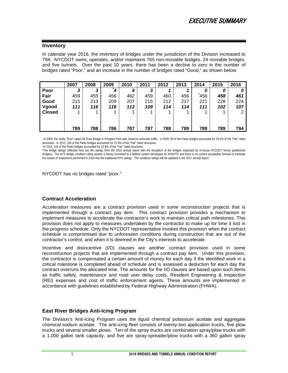#### **Inventory**

In calendar year 2016, the inventory of bridges under the jurisdiction of the Division increased to 794. NYCDOT owns, operates, and/or maintains 765 non-movable bridges, 24 movable bridges, and five tunnels. Over the past 10 years, there has been a decline to zero in the number of bridges rated "Poor," and an increase in the number of bridges rated "Good," as shown below.

|               | 2007 | 2008 | 2009 | 2010 | 2011 | 2012 | 2013 | 2014 | 2015 | 2016 |
|---------------|------|------|------|------|------|------|------|------|------|------|
| Poor          | 3    | 3    |      | 4    | 3    |      |      | 0    | 0    |      |
| Fair          | 459  | 455  | 456  | 462  | 459  | 460  | 456  | 456  | 458  | 461  |
| Good          | 215  | 213  | 209  | 207  | 215  | 212  | 217  | 221  | 228  | 224  |
| Vgood         | 111  | 116  | 116  | 113  | 109  | 114  | 114  | 111  | 102  | 107  |
| <b>Closed</b> |      |      |      |      |      |      |      |      |      | 2    |
|               |      |      |      |      |      |      |      |      |      |      |
|               |      |      |      |      |      |      |      |      |      |      |
|               | 789  | 788  | 786  | 787  | 787  | 788  | 789  | 789  | 789  | 794  |

\* In 2009, the newly "Poor" rated Hill Drive Bridge in Prospect Park was closed to vehicular traffic. In 2009, 93 of the Parks bridges accounted for 20.4% of the "Fair" rated structures. In 2013, 100 of the Parks bridges accounted for 21.9% of the "Fair" rated structures.

*!* In 2014, 104 of the Parks bridges accounted for 22.8% of the "Fair" rated structures.

#The bridge ratings reflected here are the ratings from the 2015 annual report with the exception of the bridges inspected by in-house NYCDOT forces (pedestrian bridges). The NYS bridge condition rating system is being converted to a federal system developed by AASHTO and there is no current acceptable formula to translate the results of inspections performed in 2016 into the traditional NYS ratings. The condition ratings will be updated in the 2017 annual report.

NYCDOT has no bridges rated "poor."

#### **Contract Acceleration**

Acceleration measures are a contract provision used in some reconstruction projects that is implemented through a contract pay item. This contract provision provides a mechanism to implement measures to accelerate the contractor's work to maintain critical path milestones. This provision does not apply to measures undertaken by the contractor to make up for time it lost in the progress schedule. Only the NYCDOT representative invokes this provision when the contract schedule is compromised due to unforeseen conditions during construction that are out of the contractor's control, and when it is deemed in the City's interests to accelerate.

Incentive and disincentive (I/D) clauses are another contract provision used in some reconstruction projects that are implemented through a contract pay item. Under this provision, the contractor is compensated a certain amount of money for each day if the identified work in a critical milestone is completed ahead of schedule and is assessed a deduction for each day the contract overruns the allocated time. The amounts for the I/D clauses are based upon such items as traffic safety, maintenance and road user delay costs, Resident Engineering & Inspection (REI) expenses and cost of traffic enforcement agents. These amounts are implemented in accordance with guidelines established by Federal Highway Administration (FHWA).

#### **East River Bridges Anti-Icing Program**

The Division's Anti-Icing Program uses the liquid chemical potassium acetate and aggregate chemical sodium acetate. The anti-icing fleet consists of twenty-two application trucks, five plow trucks and several smaller plows. Ten of the spray trucks are combination spray/plow trucks with a 1,000 gallon tank capacity, and five are spray-spreader/plow trucks with a 360 gallon spray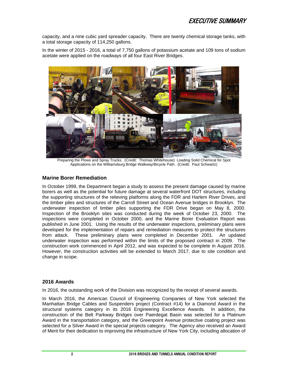capacity, and a nine cubic yard spreader capacity. There are twenty chemical storage tanks, with a total storage capacity of 114,250 gallons.

In the winter of 2015 - 2016, a total of 7,750 gallons of potassium acetate and 109 tons of sodium acetate were applied on the roadways of all four East River Bridges.



Preparing the Plows and Spray Trucks. (Credit: Thomas Whitehouse) Loading Solid Chemical for Spot Applications on the Williamsburg Bridge Walkway/Bicycle Path. (Credit: Paul Schwartz)

#### **Marine Borer Remediation**

In October 1999, the Department began a study to assess the present damage caused by marine borers as well as the potential for future damage at several waterfront DOT structures, including the supporting structures of the relieving platforms along the FDR and Harlem River Drives, and the timber piles and structures of the Carroll Street and Ocean Avenue bridges in Brooklyn. The underwater inspection of timber piles supporting the FDR Drive began on May 8, 2000. Inspection of the Brooklyn sites was conducted during the week of October 23, 2000. The inspections were completed in October 2000, and the Marine Borer Evaluation Report was published in June 2001. Using the results of the underwater inspections, preliminary plans were developed for the implementation of repairs and remediation measures to protect the structures from attack. These preliminary plans were completed in December 2001. An updated underwater inspection was performed within the limits of the proposed contract in 2009. The construction work commenced in April 2012, and was expected to be complete in August 2016. However, the construction activities will be extended to March 2017, due to site condition and change in scope.

#### **2016 Awards**

In 2016, the outstanding work of the Division was recognized by the receipt of several awards.

In March 2016, the American Council of Engineering Companies of New York selected the Manhattan Bridge Cables and Suspenders project (Contract #14) for a Diamond Award in the structural systems category in its 2016 Engineering Excellence Awards. In addition, the construction of the Belt Parkway Bridges over Paerdegat Basin was selected for a Platinum Award in the transportation category, and the Greenpoint Avenue protective coating project was selected for a Silver Award in the special projects category. The Agency also received an Award of Merit for their dedication to improving the infrastructure of New York City, including allocation of